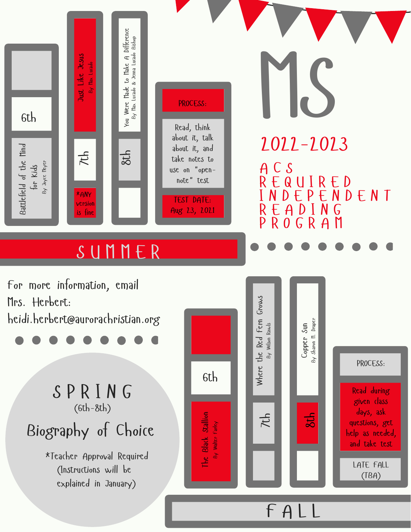